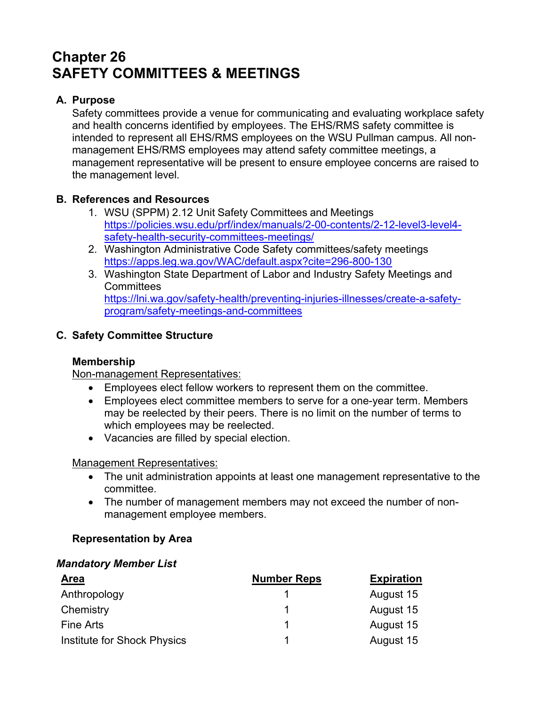# **Chapter 26 SAFETY COMMITTEES & MEETINGS**

## **A. Purpose**

Safety committees provide a venue for communicating and evaluating workplace safety and health concerns identified by employees. The EHS/RMS safety committee is intended to represent all EHS/RMS employees on the WSU Pullman campus. All nonmanagement EHS/RMS employees may attend safety committee meetings, a management representative will be present to ensure employee concerns are raised to the management level.

### **B. References and Resources**

- 1. WSU (SPPM) 2.12 Unit Safety Committees and Meetings https://policies.wsu.edu/prf/index/manuals/2-00-contents/2-12-level3-level4 safety-health-security-committees-meetings/
- 2. Washington Administrative Code Safety committees/safety meetings https://apps.leg.wa.gov/WAC/default.aspx?cite=296-800-130
- 3. Washington State Department of Labor and Industry Safety Meetings and **Committees** https://lni.wa.gov/safety-health/preventing-injuries-illnesses/create-a-safetyprogram/safety-meetings-and-committees

# **C. Safety Committee Structure**

### **Membership**

Non-management Representatives:

- Employees elect fellow workers to represent them on the committee.
- Employees elect committee members to serve for a one-year term. Members may be reelected by their peers. There is no limit on the number of terms to which employees may be reelected.
- Vacancies are filled by special election.

#### Management Representatives:

- The unit administration appoints at least one management representative to the committee.
- The number of management members may not exceed the number of nonmanagement employee members.

### **Representation by Area**

#### *Mandatory Member List*

| <b>Area</b>                 | <b>Number Reps</b> | <b>Expiration</b> |
|-----------------------------|--------------------|-------------------|
| Anthropology                |                    | August 15         |
| Chemistry                   |                    | August 15         |
| <b>Fine Arts</b>            |                    | August 15         |
| Institute for Shock Physics |                    | August 15         |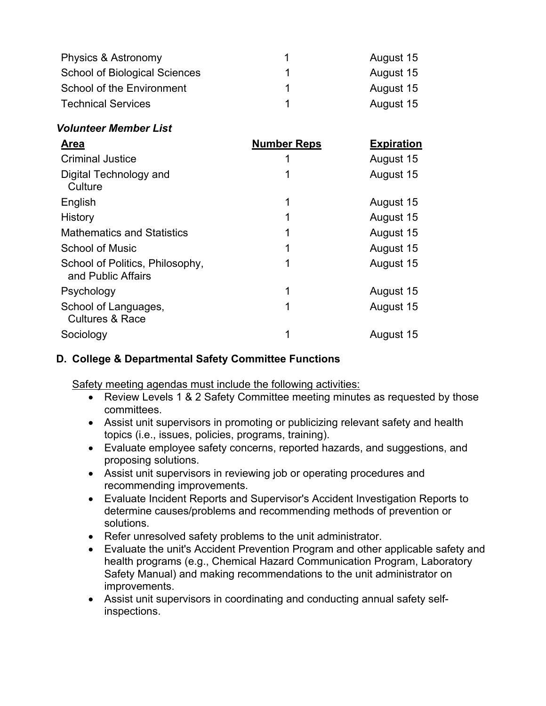| Physics & Astronomy                                   |                    | August 15         |
|-------------------------------------------------------|--------------------|-------------------|
| <b>School of Biological Sciences</b>                  |                    | August 15         |
| <b>School of the Environment</b>                      |                    | August 15         |
| <b>Technical Services</b>                             |                    | August 15         |
| <b>Volunteer Member List</b>                          |                    |                   |
| <b>Area</b>                                           | <b>Number Reps</b> | <b>Expiration</b> |
| <b>Criminal Justice</b>                               |                    | August 15         |
| Digital Technology and<br>Culture                     |                    | August 15         |
| English                                               | 1                  | August 15         |
| History                                               |                    | August 15         |
| <b>Mathematics and Statistics</b>                     |                    | August 15         |
| <b>School of Music</b>                                |                    | August 15         |
| School of Politics, Philosophy,<br>and Public Affairs | 1                  | August 15         |
| Psychology                                            | 1                  | August 15         |
| School of Languages,<br><b>Cultures &amp; Race</b>    | 1                  | August 15         |
| Sociology                                             |                    | August 15         |

### **D. College & Departmental Safety Committee Functions**

Safety meeting agendas must include the following activities:

- Review Levels 1 & 2 Safety Committee meeting minutes as requested by those committees.
- Assist unit supervisors in promoting or publicizing relevant safety and health topics (i.e., issues, policies, programs, training).
- Evaluate employee safety concerns, reported hazards, and suggestions, and proposing solutions.
- Assist unit supervisors in reviewing job or operating procedures and recommending improvements.
- Evaluate Incident Reports and Supervisor's Accident Investigation Reports to determine causes/problems and recommending methods of prevention or solutions.
- Refer unresolved safety problems to the unit administrator.
- Evaluate the unit's Accident Prevention Program and other applicable safety and health programs (e.g., Chemical Hazard Communication Program, Laboratory Safety Manual) and making recommendations to the unit administrator on improvements.
- Assist unit supervisors in coordinating and conducting annual safety selfinspections.